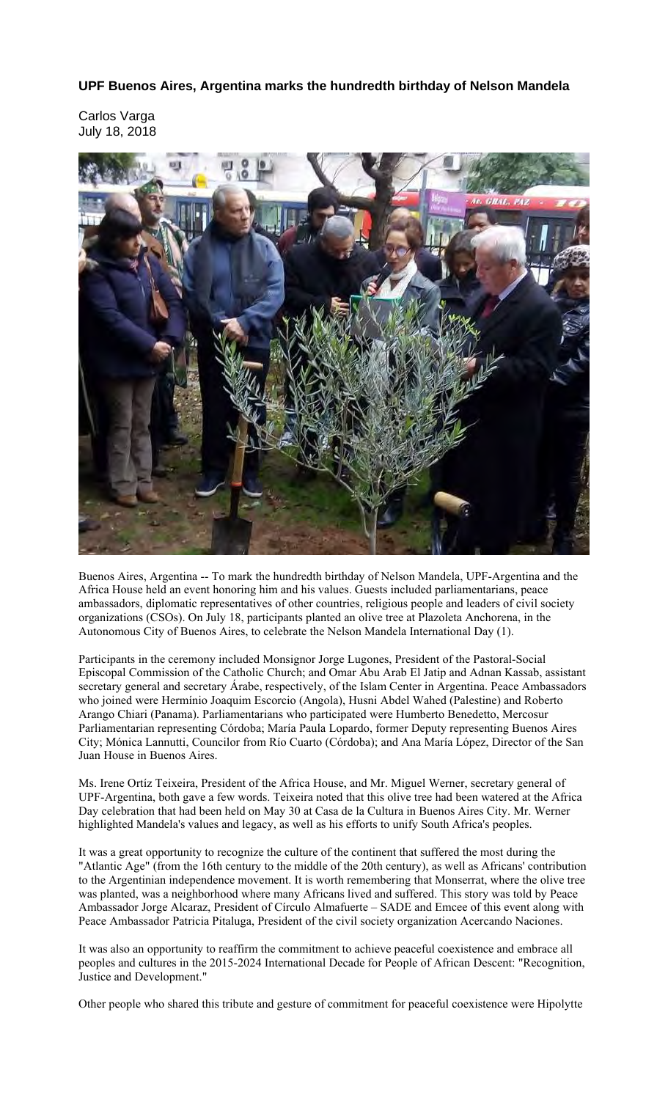**UPF Buenos Aires, Argentina marks the hundredth birthday of Nelson Mandela** 

Carlos Varga July 18, 2018



Buenos Aires, Argentina -- To mark the hundredth birthday of Nelson Mandela, UPF-Argentina and the Africa House held an event honoring him and his values. Guests included parliamentarians, peace ambassadors, diplomatic representatives of other countries, religious people and leaders of civil society organizations (CSOs). On July 18, participants planted an olive tree at Plazoleta Anchorena, in the Autonomous City of Buenos Aires, to celebrate the Nelson Mandela International Day (1).

Participants in the ceremony included Monsignor Jorge Lugones, President of the Pastoral-Social Episcopal Commission of the Catholic Church; and Omar Abu Arab El Jatip and Adnan Kassab, assistant secretary general and secretary Árabe, respectively, of the Islam Center in Argentina. Peace Ambassadors who joined were Hermínio Joaquim Escorcio (Angola), Husni Abdel Wahed (Palestine) and Roberto Arango Chiari (Panama). Parliamentarians who participated were Humberto Benedetto, Mercosur Parliamentarian representing Córdoba; María Paula Lopardo, former Deputy representing Buenos Aires City; Mónica Lannutti, Councilor from Río Cuarto (Córdoba); and Ana María López, Director of the San Juan House in Buenos Aires.

Ms. Irene Ortíz Teixeira, President of the Africa House, and Mr. Miguel Werner, secretary general of UPF-Argentina, both gave a few words. Teixeira noted that this olive tree had been watered at the Africa Day celebration that had been held on May 30 at Casa de la Cultura in Buenos Aires City. Mr. Werner highlighted Mandela's values and legacy, as well as his efforts to unify South Africa's peoples.

It was a great opportunity to recognize the culture of the continent that suffered the most during the "Atlantic Age" (from the 16th century to the middle of the 20th century), as well as Africans' contribution to the Argentinian independence movement. It is worth remembering that Monserrat, where the olive tree was planted, was a neighborhood where many Africans lived and suffered. This story was told by Peace Ambassador Jorge Alcaraz, President of Círculo Almafuerte – SADE and Emcee of this event along with Peace Ambassador Patricia Pitaluga, President of the civil society organization Acercando Naciones.

It was also an opportunity to reaffirm the commitment to achieve peaceful coexistence and embrace all peoples and cultures in the 2015-2024 International Decade for People of African Descent: "Recognition, Justice and Development."

Other people who shared this tribute and gesture of commitment for peaceful coexistence were Hipolytte